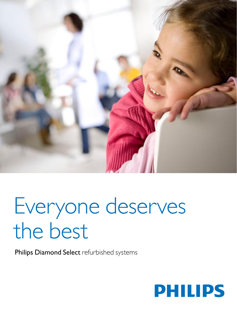

# Everyone deserves the best

Philips Diamond Select refurbished systems

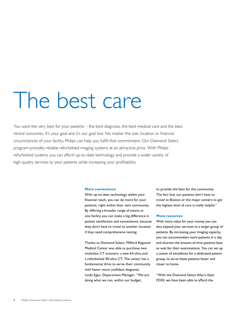# The best care

You want the very best for your patients – the best diagnosis, the best medical care and the best clinical outcomes. It's your goal and it's our goal too. No matter the size, location or financial circumstances of your facility, Philips can help you fulfill that commitment. Our Diamond Select program provides reliable refurbished imaging systems at an attractive price. With Philips refurbished systems you can afford up-to-date technology and provide a wider variety of high-quality services to your patients while increasing your profitability.

### **More convenience**

With up-to-date technology within your financial reach, you can do more for your patients, right within their own community. By offering a broader range of exams at one facility you can make a big difference in patient satisfaction and convenience, because they don't have to travel to another location if they need comprehensive testing.

Thanks to Diamond Select, Milford Regional Medical Center was able to purchase two multislice CT scanners: a new 64-slice and a refurbished 40-slice CT. The center has a fundamental drive to serve their community with faster more confident diagnosis. Linda Egan, Department Manager: "We are doing what we can, within our budget,

to provide the best for the community. The fact that our patients don't have to travel to Boston or the major centers to get the highest level of care is really helpful."

### **More resources**

With more value for your money you can also expand your services to a larger group of patients. By increasing your imaging capacity, you can accommodate more patients in a day and shorten the amount of time patients have to wait for their examinations. You can set up a center of excellence for a dedicated patient group, to serve these patients faster and closer to home.

"With the Diamond Select Allura Xper FD20, we have been able to afford the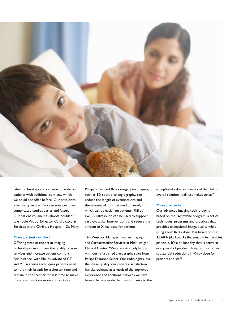

latest technology and can now provide our patients with additional services, which we could not offer before. Our physicians love the system as they can now perform complicated studies easier and faster. Our patient volume has almost doubled." says Jodie Wood, Director Cardiovascular Services at the Christus Hospital – St. Mary.

## **More patient comfort**

Offering state of the art in imaging technology can improve the quality of your services and increase patient comfort. For instance, with Philips' advanced CT and MR scanning techniques patients need to hold their breath for a shorter time and remain in the scanner for less time to make these examinations more comfortable.

Philips' advanced X-ray imaging techniques, such as 3D rotational angiography, can reduce the length of examinations and the amount of contrast medium used, which can be easier on patients. Philips' live 3D ultrasound can be used to support cardiovascular interventions and reduce the amount of X-ray dose for patients.

Tim Wescott, Manager Invasive Imaging and Cardiovascular Services at MidMichigan Medical Center: "We are extremely happy with our refurbished angiography suite from Philips Diamond Select. Our radiologists love the image quality; our patients' satisfaction has skyrocketed as a result of the improved experience and additional services we have been able to provide them with, thanks to the exceptional value and quality of the Philips overall solution. It all just makes sense."

# **More protection**

Our advanced imaging technology is based on the DoseWise program, a set of techniques, programs and practices that provides exceptional image quality while using a low X-ray dose. It is based on our ALARA (As Low As Reasonably Achievable) principle. It's a philosophy that is active in every level of product design and can offer substantial reductions in X-ray dose for patients and staff.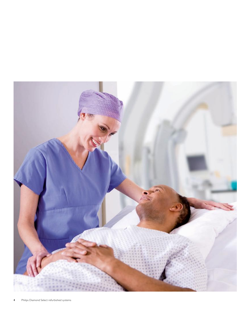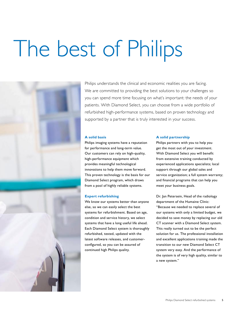# The best of Philips





Philips understands the clinical and economic realities you are facing. We are committed to providing the best solutions to your challenges so you can spend more time focusing on what's important: the needs of your patients. With Diamond Select, you can choose from a wide portfolio of refurbished high-performance systems, based on proven technology and supported by a partner that is truly interested in your success.

### **A solid basis**

Philips imaging systems have a reputation for performance and long-term value. Our customers can rely on high-quality, high-performance equipment which provides meaningful technological innovations to help them move forward. This proven technology is the basis for our Diamond Select program, which draws from a pool of highly reliable systems.

# **Expert refurbishing**

We know our systems better than anyone else, so we can easily select the best systems for refurbishment. Based on age, condition and service history, we select systems that have a long useful life ahead. Each Diamond Select system is thoroughly refurbished, tested, updated with the latest software releases, and customerconfigured, so you can be assured of continued high Philips quality.

# **A solid partnership**

Philips partners with you to help you get the most out of your investment. With Diamond Select you will benefit from extensive training conducted by experienced applications specialists; local support through our global sales and service organization; a full system warranty; and financial programs that can help you meet your business goals.

Dr. Jan Petersein, Head of the radiology department of the Humaine Clinic: "Because we needed to replace several of our systems with only a limited budget, we decided to save money by replacing our old CT scanner with a Diamond Select system. This really turned out to be the perfect solution for us. The professional installation and excellent applications training made the transition to our new Diamond Select CT system very easy. And the performance of the system is of very high quality, similar to a new system."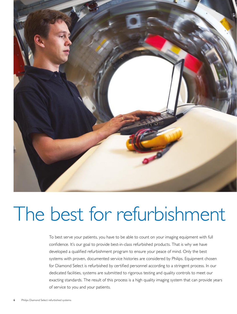

# The best for refurbishment

To best serve your patients, you have to be able to count on your imaging equipment with full confidence. It's our goal to provide best-in-class refurbished products. That is why we have developed a qualified refurbishment program to ensure your peace of mind. Only the best systems with proven, documented service histories are considered by Philips. Equipment chosen for Diamond Select is refurbished by certified personnel according to a stringent process. In our dedicated facilities, systems are submitted to rigorous testing and quality controls to meet our exacting standards. The result of this process is a high quality imaging system that can provide years of service to you and your patients.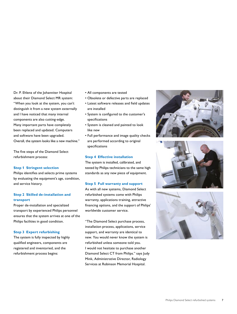Dr. P. Ehlenz of the Johanniter Hospital about their Diamond Select MR system: "When you look at the system, you can't distinguish it from a new system externally and I have noticed that many internal components are also cutting-edge. Many important parts have completely been replaced and updated. Computers and software have been upgraded. Overall, the system looks like a new machine."

The five steps of the Diamond Select refurbishment process:

# **Step 1 Stringent selection**

Philips identifies and selects prime systems by evaluating the equipment's age, condition, and service history.

# **Step 2 Skilled de-installation and transport**

Proper de-installation and specialized transport by experienced Philips personnel ensures that the system arrives at one of the Philips facilities in good condition.

# **Step 3 Expert refurbishing**

The system is fully inspected by highly qualified engineers, components are registered and inventoried, and the refurbishment process begins:

- All components are tested
- Obsolete or defective parts are replaced
- Latest software releases and field updates are installed
- System is configured to the customer's specifications
- System is cleaned and painted to look like new
- Full performance and image quality checks are performed according to original specifications

## **Step 4 Effective installation**

The system is installed, calibrated, and tested by Philips technicians to the same high standards as any new piece of equipment.

## **Step 5 Full warranty and support**

As with all new systems, Diamond Select refurbished systems come with Philips warranty, applications training, attractive financing options, and the support of Philips' worldwide customer service.

"The Diamond Select purchase process, installation process, applications, service support, and warranty are identical to new. You would never know the system is refurbished unless someone told you. I would not hesitate to purchase another Diamond Select CT from Philips." says Judy Mink, Administrative Director, Radiology Services at Robinson Memorial Hospital.





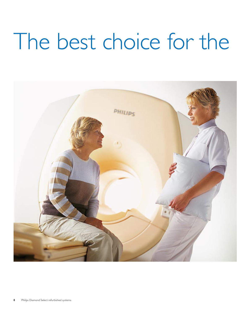# The best choice for the

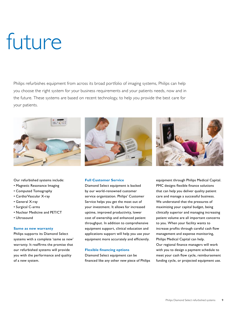# future

Philips refurbishes equipment from across its broad portfolio of imaging systems, Philips can help you choose the right system for your business requirements and your patients needs, now and in the future. These systems are based on recent technology, to help you provide the best care for your patients.



Our refurbished systems include:

- Magnetic Resonance Imaging
- Computed Tomography
- Cardio/Vascular X-ray
- General X-ray
- Surgical C-arms
- Nuclear Medicine and PET/CT
- Ultrasound

# **Same as new warranty**

Philips supports its Diamond Select systems with a complete 'same as new' warranty. It reaffirms the promise that our refurbished systems will provide you with the performance and quality of a new system.





### **Full Customer Service**

Diamond Select equipment is backed by our world-renowned customer service organization. Philips' Customer Service helps you get the most out of your investment. It allows for increased uptime, improved productivity, lower cost of ownership and enhanced patient throughput. In addition to comprehensive equipment support, clinical education and applications support will help you use your equipment more accurately and efficiently.

## **Flexible financing options**

Diamond Select equipment can be financed like any other new piece of Philips equipment through Philips Medical Capital. PMC designs flexible finance solutions that can help you deliver quality patient care and manage a successful business. We understand that the pressures of maximizing your capital budget, being clinically superior and managing increasing patient volume are all important concerns to you. When your facility wants to increase profits through careful cash flow management and expense monitoring, Philips Medical Capital can help. Our regional finance managers will work with you to design a payment schedule to meet your cash flow cycle, reimbursement funding cycle, or projected equipment use.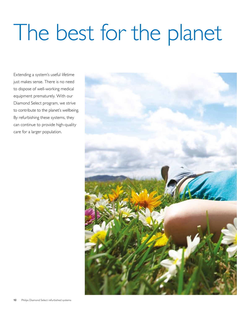# The best for the planet

Extending a system's useful lifetime just makes sense. There is no need to dispose of well-working medical equipment prematurely. With our Diamond Select program, we strive to contribute to the planet's wellbeing. By refurbishing these systems, they can continue to provide high-quality care for a larger population.

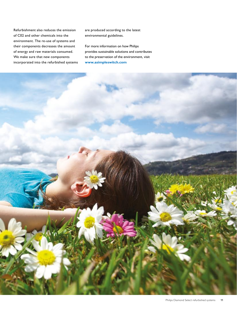Refurbishment also reduces the emission<br>of C02 and other chemicals into the<br>environment. The re-use of systems and<br>their components despesses the emount of C02 and other chemicals into the environment. The re-use of systems and their components decreases the amount of energy and raw materials consumed. We make sure that new components incorporated into the refurbished systems

are produced according to the latest environmental guidelines.

For more information on how Philips provides sustainable solutions and contributes to the preservation of the environment, visit **www.asimpleswitch.com**